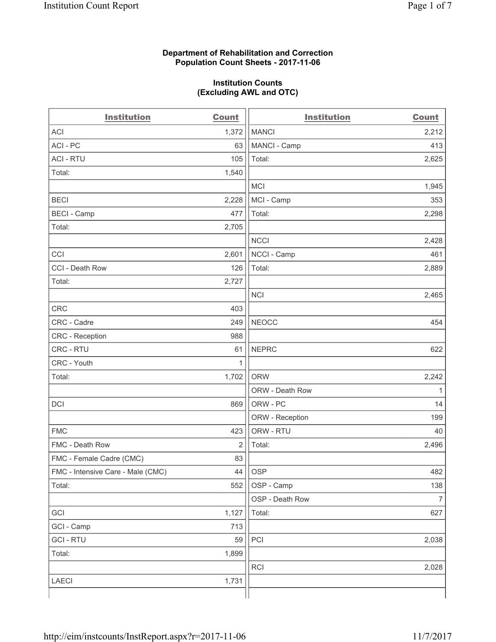### **Department of Rehabilitation and Correction Population Count Sheets - 2017-11-06**

### **Institution Counts (Excluding AWL and OTC)**

| <b>Institution</b>                | <b>Count</b> | <b>Institution</b> | <b>Count</b>   |
|-----------------------------------|--------------|--------------------|----------------|
| <b>ACI</b>                        | 1,372        | <b>MANCI</b>       | 2,212          |
| ACI-PC                            | 63           | MANCI - Camp       | 413            |
| <b>ACI - RTU</b>                  | 105          | Total:             | 2,625          |
| Total:                            | 1,540        |                    |                |
|                                   |              | <b>MCI</b>         | 1,945          |
| <b>BECI</b>                       | 2,228        | MCI - Camp         | 353            |
| <b>BECI</b> - Camp                | 477          | Total:             | 2,298          |
| Total:                            | 2,705        |                    |                |
|                                   |              | <b>NCCI</b>        | 2,428          |
| CCI                               | 2,601        | NCCI - Camp        | 461            |
| CCI - Death Row                   | 126          | Total:             | 2,889          |
| Total:                            | 2,727        |                    |                |
|                                   |              | <b>NCI</b>         | 2,465          |
| <b>CRC</b>                        | 403          |                    |                |
| CRC - Cadre                       | 249          | <b>NEOCC</b>       | 454            |
| CRC - Reception                   | 988          |                    |                |
| CRC - RTU                         | 61           | <b>NEPRC</b>       | 622            |
| CRC - Youth                       | 1            |                    |                |
| Total:                            | 1,702        | <b>ORW</b>         | 2,242          |
|                                   |              | ORW - Death Row    | 1              |
| DCI                               | 869          | ORW - PC           | 14             |
|                                   |              | ORW - Reception    | 199            |
| <b>FMC</b>                        | 423          | ORW - RTU          | 40             |
| FMC - Death Row                   | 2            | Total:             | 2,496          |
| FMC - Female Cadre (CMC)          | 83           |                    |                |
| FMC - Intensive Care - Male (CMC) | 44           | OSP                | 482            |
| Total:                            | 552          | OSP - Camp         | 138            |
|                                   |              | OSP - Death Row    | $\overline{7}$ |
| GCI                               | 1,127        | Total:             | 627            |
| GCI - Camp                        | 713          |                    |                |
| <b>GCI - RTU</b>                  | 59           | PCI                | 2,038          |
| Total:                            | 1,899        |                    |                |
|                                   |              | RCI                | 2,028          |
| <b>LAECI</b>                      | 1,731        |                    |                |
|                                   |              |                    |                |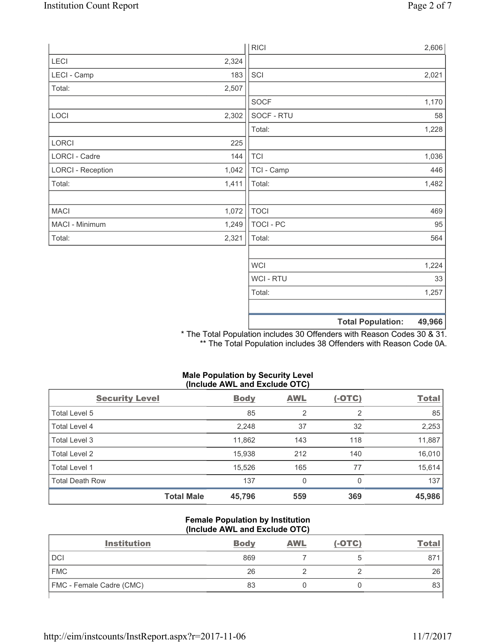|                          |       | <b>RICI</b>    | 2,606                              |
|--------------------------|-------|----------------|------------------------------------|
| LECI                     | 2,324 |                |                                    |
| LECI - Camp              | 183   | SCI            | 2,021                              |
| Total:                   | 2,507 |                |                                    |
|                          |       | SOCF           | 1,170                              |
| LOCI                     | 2,302 | SOCF - RTU     | 58                                 |
|                          |       | Total:         | 1,228                              |
| LORCI                    | 225   |                |                                    |
| LORCI - Cadre            | 144   | <b>TCI</b>     | 1,036                              |
| <b>LORCI - Reception</b> | 1,042 | TCI - Camp     | 446                                |
| Total:                   | 1,411 | Total:         | 1,482                              |
|                          |       |                |                                    |
| <b>MACI</b>              | 1,072 | <b>TOCI</b>    | 469                                |
| MACI - Minimum           | 1,249 | TOCI - PC      | 95                                 |
| Total:                   | 2,321 | Total:         | 564                                |
|                          |       |                |                                    |
|                          |       | <b>WCI</b>     | 1,224                              |
|                          |       | <b>WCI-RTU</b> | 33                                 |
|                          |       | Total:         | 1,257                              |
|                          |       |                |                                    |
|                          |       |                | <b>Total Population:</b><br>49,966 |

\* The Total Population includes 30 Offenders with Reason Codes 30 & 31. \*\* The Total Population includes 38 Offenders with Reason Code 0A.

# **Male Population by Security Level (Include AWL and Exclude OTC)**

| <b>Security Level</b>  |                   | <b>Body</b> | <b>AWL</b>     | $(-OTC)$ | <b>Total</b> |
|------------------------|-------------------|-------------|----------------|----------|--------------|
| Total Level 5          |                   | 85          | $\overline{2}$ | 2        | 85           |
| <b>Total Level 4</b>   |                   | 2,248       | 37             | 32       | 2,253        |
| Total Level 3          |                   | 11,862      | 143            | 118      | 11,887       |
| Total Level 2          |                   | 15,938      | 212            | 140      | 16,010       |
| Total Level 1          |                   | 15,526      | 165            | 77       | 15,614       |
| <b>Total Death Row</b> |                   | 137         | 0              | 0        | 137          |
|                        | <b>Total Male</b> | 45,796      | 559            | 369      | 45,986       |

### **Female Population by Institution (Include AWL and Exclude OTC)**

| <b>Institution</b>              | <b>Body</b> | <b>AWL</b> | $(-OTC)$ | <u>Total</u> |
|---------------------------------|-------------|------------|----------|--------------|
| <b>DCI</b>                      | 869         |            |          | 871          |
| <b>FMC</b>                      | 26          |            |          | 26           |
| <b>FMC</b> - Female Cadre (CMC) | 83          |            |          | 83           |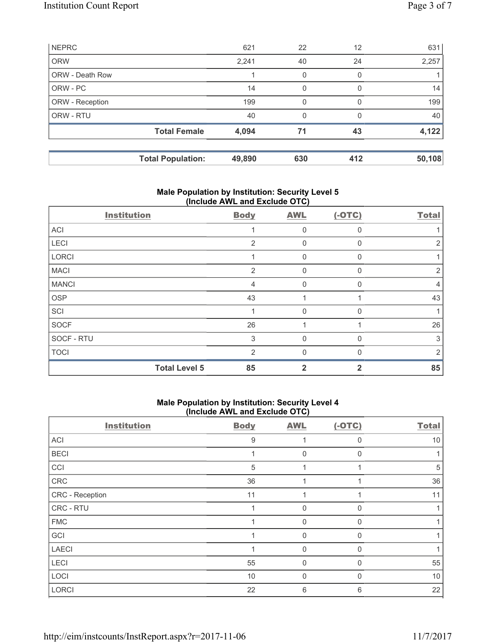| <b>NEPRC</b>           |                          | 621    | 22  | 12  | 631    |
|------------------------|--------------------------|--------|-----|-----|--------|
| <b>ORW</b>             |                          | 2,241  | 40  | 24  | 2,257  |
| <b>ORW - Death Row</b> |                          |        | 0   | 0   |        |
| ORW - PC               |                          | 14     | 0   | O   | 14     |
| ORW - Reception        |                          | 199    | 0   | 0   | 199    |
| ORW - RTU              |                          | 40     | 0   | 0   | 40     |
|                        | <b>Total Female</b>      | 4,094  | 71  | 43  | 4,122  |
|                        |                          |        |     |     |        |
|                        | <b>Total Population:</b> | 49,890 | 630 | 412 | 50,108 |

# **Male Population by Institution: Security Level 5 (Include AWL and Exclude OTC)**

| <b>Institution</b>   | <b>Body</b>    | <b>AWL</b> | $(-OTC)$     | <b>Total</b> |
|----------------------|----------------|------------|--------------|--------------|
| ACI                  |                | 0          | 0            |              |
| LECI                 | $\overline{2}$ | 0          | 0            | 2            |
| LORCI                |                | $\Omega$   | 0            |              |
| <b>MACI</b>          | 2              | $\Omega$   | 0            | 2            |
| <b>MANCI</b>         | 4              | $\Omega$   | 0            | 4            |
| <b>OSP</b>           | 43             |            |              | 43           |
| SCI                  |                | $\Omega$   | $\mathbf{0}$ |              |
| <b>SOCF</b>          | 26             |            |              | 26           |
| SOCF - RTU           | 3              | $\Omega$   | 0            | 3            |
| <b>TOCI</b>          | $\overline{2}$ | ∩          | O            | 2            |
| <b>Total Level 5</b> | 85             | 2          | 2            | 85           |

## **Male Population by Institution: Security Level 4 (Include AWL and Exclude OTC)**

| <b>Institution</b> | <b>Body</b> | <b>AWL</b> | $(-OTC)$ | <b>Total</b> |
|--------------------|-------------|------------|----------|--------------|
| ACI                | 9           |            | $\Omega$ | 10           |
| <b>BECI</b>        |             | 0          | $\Omega$ |              |
| CCI                | 5           |            |          | 5            |
| ${\sf CRC}$        | 36          |            |          | 36           |
| CRC - Reception    | 11          |            |          | 11           |
| CRC - RTU          | 1           | 0          | 0        |              |
| <b>FMC</b>         |             | 0          | $\Omega$ |              |
| GCI                |             | 0          | $\Omega$ |              |
| <b>LAECI</b>       |             | 0          | O        |              |
| LECI               | 55          | 0          | O        | 55           |
| LOCI               | 10          | 0          | $\Omega$ | 10           |
| <b>LORCI</b>       | 22          | 6          | 6        | 22           |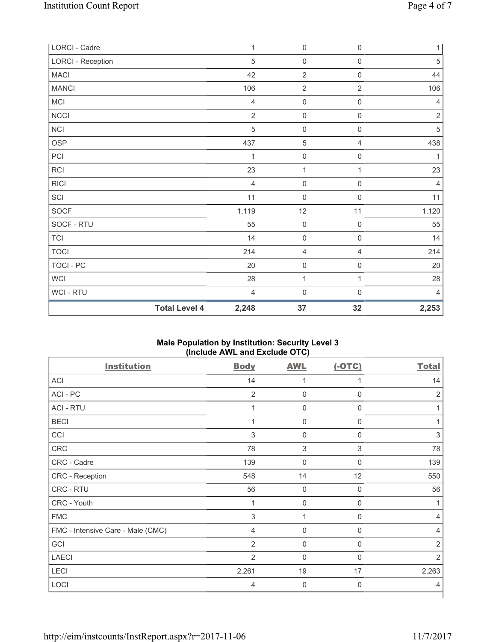| LORCI - Cadre            |                      | 1              | $\mathsf{O}\xspace$ | $\mathsf{O}\xspace$ | 1              |
|--------------------------|----------------------|----------------|---------------------|---------------------|----------------|
| <b>LORCI - Reception</b> |                      | $\sqrt{5}$     | $\mathsf{O}\xspace$ | $\mathsf{O}\xspace$ | $\sqrt{5}$     |
| <b>MACI</b>              |                      | 42             | $\sqrt{2}$          | $\mathsf 0$         | 44             |
| <b>MANCI</b>             |                      | 106            | $\overline{2}$      | $\overline{2}$      | 106            |
| MCI                      |                      | $\overline{4}$ | $\mathsf{O}\xspace$ | $\mathsf{O}\xspace$ | $\overline{4}$ |
| <b>NCCI</b>              |                      | $\overline{2}$ | $\mathsf 0$         | $\mathsf{O}\xspace$ | $\sqrt{2}$     |
| NCI                      |                      | 5              | $\mathbf 0$         | $\mathsf{O}\xspace$ | $\,$ 5 $\,$    |
| <b>OSP</b>               |                      | 437            | $\,$ 5 $\,$         | $\overline{4}$      | 438            |
| PCI                      |                      | 1              | $\mathsf{O}\xspace$ | $\mathsf{O}\xspace$ | 1              |
| <b>RCI</b>               |                      | 23             | $\mathbf{1}$        | 1                   | 23             |
| <b>RICI</b>              |                      | $\overline{4}$ | $\mathsf{O}\xspace$ | $\mathsf{O}\xspace$ | $\overline{4}$ |
| SCI                      |                      | 11             | $\mathsf{O}\xspace$ | $\mathsf{O}\xspace$ | 11             |
| SOCF                     |                      | 1,119          | 12                  | 11                  | 1,120          |
| SOCF - RTU               |                      | 55             | $\mathsf{O}\xspace$ | $\mathsf 0$         | 55             |
| <b>TCI</b>               |                      | 14             | $\mathsf{O}\xspace$ | $\mathsf{O}\xspace$ | 14             |
| <b>TOCI</b>              |                      | 214            | 4                   | $\overline{4}$      | 214            |
| <b>TOCI - PC</b>         |                      | 20             | $\mathsf{O}\xspace$ | $\mathsf{O}\xspace$ | 20             |
| <b>WCI</b>               |                      | 28             | $\mathbf{1}$        | $\mathbf{1}$        | 28             |
| <b>WCI-RTU</b>           |                      | $\overline{4}$ | $\mathsf{O}\xspace$ | $\mathsf{O}\xspace$ | 4              |
|                          | <b>Total Level 4</b> | 2,248          | 37                  | 32                  | 2,253          |

## **Male Population by Institution: Security Level 3 (Include AWL and Exclude OTC)**

| <b>Institution</b>                | <b>Body</b>    | <b>AWL</b>          | $(-OTC)$    | <b>Total</b>   |
|-----------------------------------|----------------|---------------------|-------------|----------------|
| ACI                               | 14             | 1                   | 1           | 14             |
| ACI - PC                          | $\overline{2}$ | 0                   | 0           | $\overline{2}$ |
| <b>ACI - RTU</b>                  | 1              | 0                   | $\mathbf 0$ |                |
| <b>BECI</b>                       | 1              | 0                   | $\mathbf 0$ |                |
| CCI                               | 3              | 0                   | $\mathbf 0$ | 3              |
| CRC                               | 78             | $\,$ 3 $\,$         | 3           | 78             |
| CRC - Cadre                       | 139            | $\mathsf{0}$        | $\mathbf 0$ | 139            |
| CRC - Reception                   | 548            | 14                  | 12          | 550            |
| CRC - RTU                         | 56             | 0                   | $\mathbf 0$ | 56             |
| CRC - Youth                       | 1              | 0                   | $\mathbf 0$ |                |
| <b>FMC</b>                        | 3              | 1                   | 0           | 4              |
| FMC - Intensive Care - Male (CMC) | 4              | 0                   | 0           | 4              |
| GCI                               | $\overline{2}$ | 0                   | $\mathbf 0$ | $\overline{2}$ |
| <b>LAECI</b>                      | $\overline{2}$ | 0                   | $\mathbf 0$ | $\overline{2}$ |
| LECI                              | 2,261          | 19                  | 17          | 2,263          |
| LOCI                              | 4              | $\mathsf{O}\xspace$ | $\mathbf 0$ | 4              |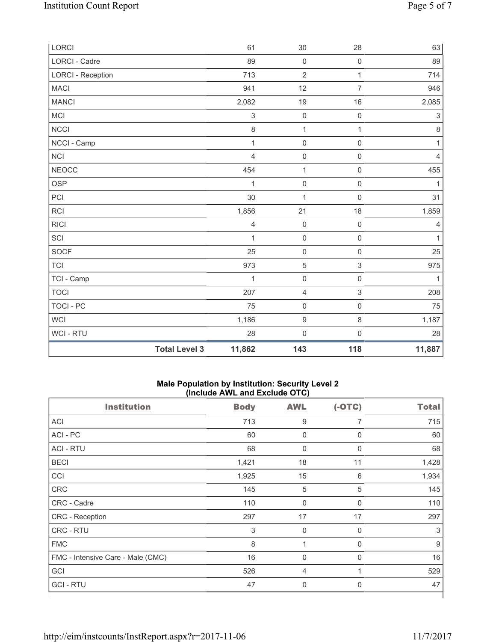| <b>LORCI</b>             |                      | 61             | 30                  | 28                  | 63                        |
|--------------------------|----------------------|----------------|---------------------|---------------------|---------------------------|
| <b>LORCI - Cadre</b>     |                      | 89             | $\mathsf{O}\xspace$ | $\mathsf{O}\xspace$ | 89                        |
| <b>LORCI - Reception</b> |                      | 713            | $\sqrt{2}$          | 1                   | 714                       |
| <b>MACI</b>              |                      | 941            | 12                  | $\overline{7}$      | 946                       |
| <b>MANCI</b>             |                      | 2,082          | 19                  | 16                  | 2,085                     |
| MCI                      |                      | 3              | $\mathsf{O}\xspace$ | $\boldsymbol{0}$    | $\ensuremath{\mathsf{3}}$ |
| <b>NCCI</b>              |                      | $\,8\,$        | $\mathbf 1$         | $\mathbf{1}$        | $\,8\,$                   |
| NCCI - Camp              |                      | $\mathbf{1}$   | $\mathsf{O}\xspace$ | $\mathsf 0$         | $\mathbf{1}$              |
| <b>NCI</b>               |                      | $\overline{4}$ | $\mathsf{O}\xspace$ | $\mathsf 0$         | $\overline{4}$            |
| <b>NEOCC</b>             |                      | 454            | $\mathbf{1}$        | $\mathsf{O}\xspace$ | 455                       |
| <b>OSP</b>               |                      | 1              | $\pmb{0}$           | $\mathsf{O}\xspace$ | 1                         |
| PCI                      |                      | 30             | $\mathbf{1}$        | $\mathsf{O}\xspace$ | 31                        |
| <b>RCI</b>               |                      | 1,856          | 21                  | 18                  | 1,859                     |
| <b>RICI</b>              |                      | $\overline{4}$ | $\mathbf 0$         | $\mathsf{O}\xspace$ | $\overline{4}$            |
| SCI                      |                      | $\mathbf{1}$   | $\mathsf{O}\xspace$ | $\mathsf{O}\xspace$ | 1                         |
| SOCF                     |                      | 25             | $\mathsf{O}\xspace$ | $\mathsf 0$         | 25                        |
| <b>TCI</b>               |                      | 973            | $\,$ 5 $\,$         | $\,$ 3 $\,$         | 975                       |
| TCI - Camp               |                      | 1              | $\mathbf 0$         | $\mathsf{O}\xspace$ | $\mathbf{1}$              |
| <b>TOCI</b>              |                      | 207            | $\overline{4}$      | 3                   | 208                       |
| <b>TOCI - PC</b>         |                      | 75             | $\mathsf{O}\xspace$ | $\mathsf{O}\xspace$ | 75                        |
| <b>WCI</b>               |                      | 1,186          | $\boldsymbol{9}$    | 8                   | 1,187                     |
| WCI - RTU                |                      | 28             | $\mathbf 0$         | $\mathsf 0$         | 28                        |
|                          | <b>Total Level 3</b> | 11,862         | 143                 | 118                 | 11,887                    |

## **Male Population by Institution: Security Level 2 (Include AWL and Exclude OTC)**

| <b>Institution</b>                | <b>Body</b> | <b>AWL</b>  | $(-OTC)$     | <b>Total</b> |
|-----------------------------------|-------------|-------------|--------------|--------------|
| <b>ACI</b>                        | 713         | 9           | 7            | 715          |
| ACI-PC                            | 60          | $\pmb{0}$   | $\mathbf 0$  | 60           |
| <b>ACI - RTU</b>                  | 68          | $\pmb{0}$   | 0            | 68           |
| <b>BECI</b>                       | 1,421       | 18          | 11           | 1,428        |
| CCI                               | 1,925       | 15          | 6            | 1,934        |
| CRC                               | 145         | 5           | 5            | 145          |
| CRC - Cadre                       | 110         | $\mathsf 0$ | 0            | 110          |
| CRC - Reception                   | 297         | 17          | 17           | 297          |
| CRC - RTU                         | 3           | $\mathbf 0$ | 0            | 3            |
| <b>FMC</b>                        | 8           |             | $\mathbf{0}$ | $9\,$        |
| FMC - Intensive Care - Male (CMC) | 16          | $\mathbf 0$ | $\Omega$     | 16           |
| GCI                               | 526         | 4           | 1            | 529          |
| <b>GCI-RTU</b>                    | 47          | $\mathbf 0$ | $\Omega$     | 47           |

⅂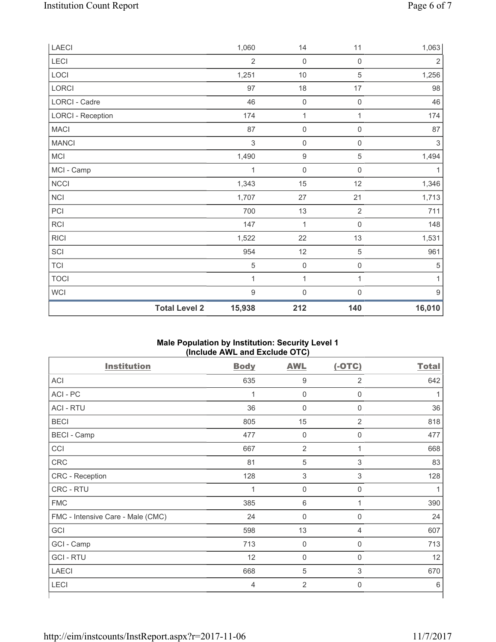| LAECI                    |                      | 1,060          | 14                  | 11                  | 1,063          |
|--------------------------|----------------------|----------------|---------------------|---------------------|----------------|
| LECI                     |                      | $\overline{2}$ | $\mathbf 0$         | $\mathsf{O}\xspace$ | $\overline{2}$ |
| LOCI                     |                      | 1,251          | $10$                | $\sqrt{5}$          | 1,256          |
| LORCI                    |                      | 97             | 18                  | 17                  | 98             |
| LORCI - Cadre            |                      | 46             | $\mathbf 0$         | $\mathsf{O}\xspace$ | 46             |
| <b>LORCI - Reception</b> |                      | 174            | $\mathbf{1}$        | 1                   | 174            |
| <b>MACI</b>              |                      | 87             | $\mathsf 0$         | $\mathsf{O}\xspace$ | 87             |
| <b>MANCI</b>             |                      | $\sqrt{3}$     | $\mathsf 0$         | $\mathsf{O}\xspace$ | $\sqrt{3}$     |
| MCI                      |                      | 1,490          | $\boldsymbol{9}$    | $\sqrt{5}$          | 1,494          |
| MCI - Camp               |                      | 1              | $\mathsf{O}\xspace$ | $\mathsf{O}\xspace$ | 1              |
| NCCI                     |                      | 1,343          | 15                  | 12                  | 1,346          |
| NCI                      |                      | 1,707          | 27                  | 21                  | 1,713          |
| PCI                      |                      | 700            | 13                  | $\overline{2}$      | 711            |
| RCI                      |                      | 147            | $\mathbf{1}$        | $\mathsf{O}\xspace$ | 148            |
| <b>RICI</b>              |                      | 1,522          | 22                  | 13                  | 1,531          |
| SCI                      |                      | 954            | 12                  | $\sqrt{5}$          | 961            |
| <b>TCI</b>               |                      | $\,$ 5 $\,$    | $\mathsf 0$         | $\mathsf{O}\xspace$ | $\sqrt{5}$     |
| <b>TOCI</b>              |                      | 1              | $\mathbf 1$         | 1                   | 1              |
| <b>WCI</b>               |                      | $9\,$          | $\mathbf 0$         | $\mathsf 0$         | $9\,$          |
|                          | <b>Total Level 2</b> | 15,938         | 212                 | 140                 | 16,010         |

# **Male Population by Institution: Security Level 1 (Include AWL and Exclude OTC)**

| <b>Institution</b>                | <b>Body</b>    | <b>AWL</b>     | $(-OTC)$       | <b>Total</b> |
|-----------------------------------|----------------|----------------|----------------|--------------|
| <b>ACI</b>                        | 635            | 9              | $\overline{2}$ | 642          |
| ACI - PC                          | 1              | $\mathbf 0$    | $\mathbf 0$    |              |
| <b>ACI - RTU</b>                  | 36             | $\mathbf 0$    | $\mathbf 0$    | 36           |
| <b>BECI</b>                       | 805            | 15             | $\overline{2}$ | 818          |
| <b>BECI</b> - Camp                | 477            | $\mathbf 0$    | $\mathbf 0$    | 477          |
| CCI                               | 667            | $\overline{2}$ | 1              | 668          |
| CRC                               | 81             | 5              | 3              | 83           |
| CRC - Reception                   | 128            | $\sqrt{3}$     | $\mathsf 3$    | 128          |
| CRC - RTU                         | $\overline{1}$ | $\mathbf 0$    | $\mathbf 0$    |              |
| <b>FMC</b>                        | 385            | $\,6\,$        | 1              | 390          |
| FMC - Intensive Care - Male (CMC) | 24             | $\mathbf 0$    | $\mathbf 0$    | 24           |
| GCI                               | 598            | 13             | 4              | 607          |
| GCI - Camp                        | 713            | $\mathbf 0$    | 0              | 713          |
| <b>GCI-RTU</b>                    | 12             | $\mathbf 0$    | $\mathbf 0$    | 12           |
| <b>LAECI</b>                      | 668            | 5              | 3              | 670          |
| <b>LECI</b>                       | $\overline{4}$ | $\overline{2}$ | $\mathbf 0$    | 6            |
|                                   |                |                |                |              |